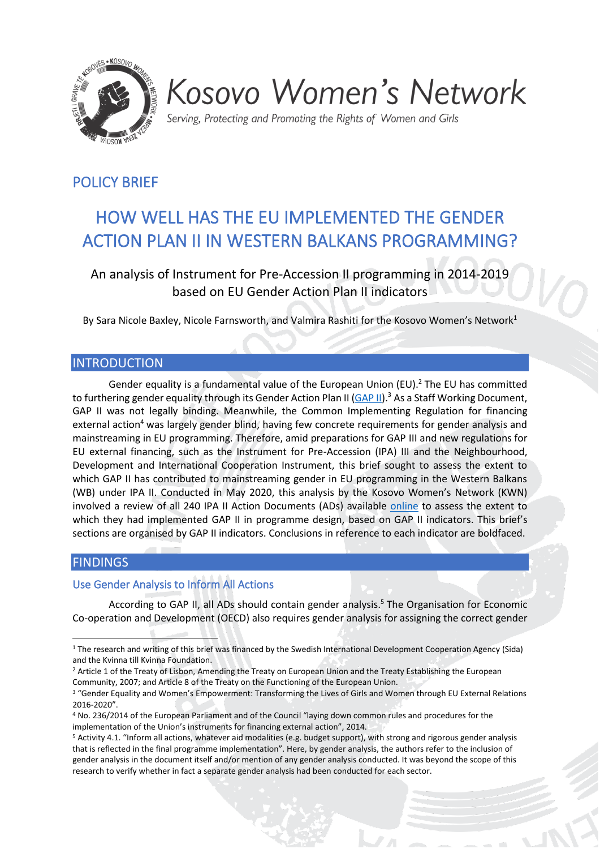

# Kosovo Women's Network

Serving, Protecting and Promoting the Rights of Women and Girls

# POLICY BRIEF

# HOW WELL HAS THE EU IMPLEMENTED THE GENDER ACTION PLAN II IN WESTERN BALKANS PROGRAMMING?

An analysis of Instrument for Pre-Accession II programming in 2014-2019 based on EU Gender Action Plan II indicators

By Sara Nicole Baxley, Nicole Farnsworth, and Valmira Rashiti for the Kosovo Women's Network<sup>1</sup>

# INTRODUCTION

Gender equality is a fundamental value of the European Union (EU).<sup>2</sup> The EU has committed to furthering gender equality through its Gender Action Plan II [\(GAP II\)](https://ec.europa.eu/anti-trafficking/sites/antitrafficking/files/joint_staff_working_document_-_gender_equality_and_womens_empowerment.pdf).<sup>3</sup> As a Staff Working Document, GAP II was not legally binding. Meanwhile, the Common Implementing Regulation for financing external action<sup>4</sup> was largely gender blind, having few concrete requirements for gender analysis and mainstreaming in EU programming. Therefore, amid preparations for GAP III and new regulations for EU external financing, such as the Instrument for Pre-Accession (IPA) III and the Neighbourhood, Development and International Cooperation Instrument, this brief sought to assess the extent to which GAP II has contributed to mainstreaming gender in EU programming in the Western Balkans (WB) under IPA II. Conducted in May 2020, this analysis by the Kosovo Women's Network (KWN) involved a review of all 240 IPA II Action Documents (ADs) available [online](https://ec.europa.eu/neighbourhood-enlargement/instruments/overview_en) to assess the extent to which they had implemented GAP II in programme design, based on GAP II indicators. This brief's sections are organised by GAP II indicators. Conclusions in reference to each indicator are boldfaced.

# **FINDINGS**

# Use Gender Analysis to Inform All Actions

According to GAP II, all ADs should contain gender analysis.<sup>5</sup> The Organisation for Economic Co-operation and Development (OECD) also requires gender analysis for assigning the correct gender

<sup>1</sup> The research and writing of this brief was financed by the Swedish International Development Cooperation Agency (Sida) and the Kvinna till Kvinna Foundation.

<sup>&</sup>lt;sup>2</sup> Article 1 of the Treaty of Lisbon, Amending the Treaty on European Union and the Treaty Establishing the European Community, 2007; and Article 8 of the Treaty on the Functioning of the European Union.

<sup>&</sup>lt;sup>3</sup> "Gender Equality and Women's Empowerment: Transforming the Lives of Girls and Women through EU External Relations 2016-2020".

<sup>4</sup> No. 236/2014 of the European Parliament and of the Council "laying down common rules and procedures for the implementation of the Union's instruments for financing external action", 2014.

<sup>5</sup> Activity 4.1. "Inform all actions, whatever aid modalities (e.g. budget support), with strong and rigorous gender analysis that is reflected in the final programme implementation". Here, by gender analysis, the authors refer to the inclusion of gender analysis in the document itself and/or mention of any gender analysis conducted. It was beyond the scope of this research to verify whether in fact a separate gender analysis had been conducted for each sector.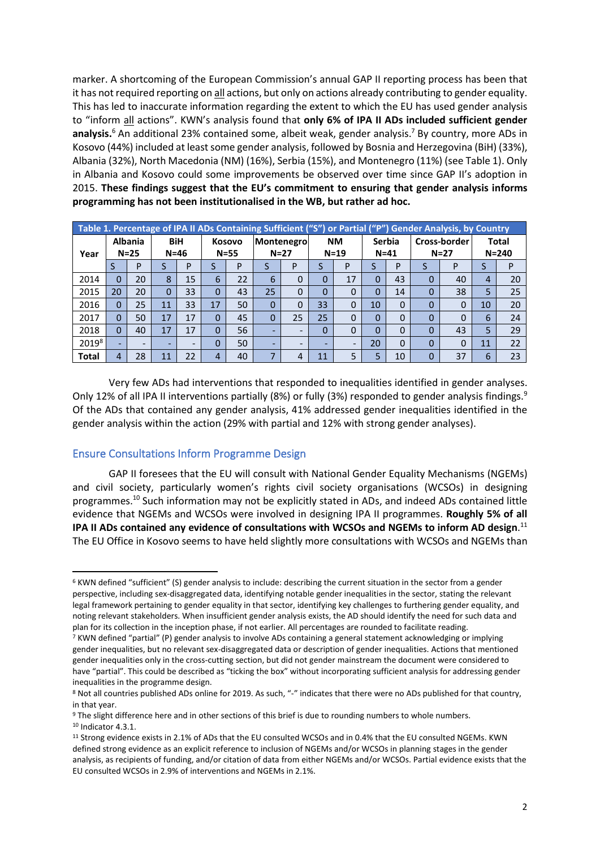marker. A shortcoming of the European Commission's annual GAP II reporting process has been that it has not required reporting on all actions, but only on actions already contributing to gender equality. This has led to inaccurate information regarding the extent to which the EU has used gender analysis to "inform all actions". KWN's analysis found that **only 6% of IPA II ADs included sufficient gender analysis.** <sup>6</sup> An additional 23% contained some, albeit weak, gender analysis. <sup>7</sup> By country, more ADs in Kosovo (44%) included at least some gender analysis, followed by Bosnia and Herzegovina (BiH) (33%), Albania (32%), North Macedonia (NM) (16%), Serbia (15%), and Montenegro (11%) (see Table 1). Only in Albania and Kosovo could some improvements be observed over time since GAP II's adoption in 2015. **These findings suggest that the EU's commitment to ensuring that gender analysis informs programming has not been institutionalised in the WB, but rather ad hoc.**

|                   | Table 1. Percentage of IPA II ADs Containing Sufficient ("S") or Partial ("P") Gender Analysis, by Country |    |                        |    |                    |    |          |                      |    |                          |                |                           |   |                          |                           |    |  |
|-------------------|------------------------------------------------------------------------------------------------------------|----|------------------------|----|--------------------|----|----------|----------------------|----|--------------------------|----------------|---------------------------|---|--------------------------|---------------------------|----|--|
| Year              | <b>Albania</b><br>$N=25$                                                                                   |    | <b>BiH</b><br>$N = 46$ |    | Kosovo<br>$N = 55$ |    |          | Montenegro<br>$N=27$ |    | <b>NM</b><br>$N = 19$    |                | <b>Serbia</b><br>$N = 41$ |   | Cross-border<br>$N = 27$ | <b>Total</b><br>$N = 240$ |    |  |
|                   | S                                                                                                          | P  |                        | P  |                    | P  | э        | P                    |    | P                        |                | P                         | S | P                        | S                         | P  |  |
| 2014              | 0                                                                                                          | 20 | 8                      | 15 | 6                  | 22 | 6        | 0                    | 0  | 17                       | $\overline{0}$ | 43                        | 0 | 40                       | 4                         | 20 |  |
| 2015              | 20                                                                                                         | 20 |                        | 33 | $\Omega$           | 43 | 25       | 0                    | 0  | 0                        | 0              | 14                        | 0 | 38                       | 5                         | 25 |  |
| 2016              | 0                                                                                                          | 25 | 11                     | 33 | 17                 | 50 | $\Omega$ | 0                    |    | $\overline{0}$           | 10             | $\Omega$                  | 0 | $\Omega$                 | 10                        | 20 |  |
| 2017              | 0                                                                                                          | 50 | 17                     | 17 | $\Omega$           | 45 | $\Omega$ | 25                   | 25 | 0                        | $\Omega$       | 0                         | 0 | $\Omega$                 | 6                         | 24 |  |
| 2018              | $\Omega$                                                                                                   | 40 | 17                     | 17 | 0                  | 56 | -        | -                    | 0  | $\overline{0}$           | $\overline{0}$ | $\Omega$                  | 0 | 43                       | 5                         | 29 |  |
| 2019 <sup>8</sup> |                                                                                                            |    | -                      | -  | 0                  | 50 |          |                      |    | $\overline{\phantom{a}}$ | 20             | $\Omega$                  | 0 | $\mathbf{0}$             | 11                        | 22 |  |
| <b>Total</b>      | 4                                                                                                          | 28 | 11                     | 22 | 4                  | 40 |          | 4                    | 11 | 5                        | 5              | 10                        |   | 37                       | 6                         | 23 |  |

Very few ADs had interventions that responded to inequalities identified in gender analyses. Only 12% of all IPA II interventions partially (8%) or fully (3%) responded to gender analysis findings.<sup>9</sup> Of the ADs that contained any gender analysis, 41% addressed gender inequalities identified in the gender analysis within the action (29% with partial and 12% with strong gender analyses).

## Ensure Consultations Inform Programme Design

GAP II foresees that the EU will consult with National Gender Equality Mechanisms (NGEMs) and civil society, particularly women's rights civil society organisations (WCSOs) in designing programmes.<sup>10</sup> Such information may not be explicitly stated in ADs, and indeed ADs contained little evidence that NGEMs and WCSOs were involved in designing IPA II programmes. **Roughly 5% of all IPA II ADs contained any evidence of consultations with WCSOs and NGEMs to inform AD design**. 11 The EU Office in Kosovo seems to have held slightly more consultations with WCSOs and NGEMs than

<sup>6</sup> KWN defined "sufficient" (S) gender analysis to include: describing the current situation in the sector from a gender perspective, including sex-disaggregated data, identifying notable gender inequalities in the sector, stating the relevant legal framework pertaining to gender equality in that sector, identifying key challenges to furthering gender equality, and noting relevant stakeholders. When insufficient gender analysis exists, the AD should identify the need for such data and plan for its collection in the inception phase, if not earlier. All percentages are rounded to facilitate reading.

<sup>7</sup> KWN defined "partial" (P) gender analysis to involve ADs containing a general statement acknowledging or implying gender inequalities, but no relevant sex-disaggregated data or description of gender inequalities. Actions that mentioned gender inequalities only in the cross-cutting section, but did not gender mainstream the document were considered to have "partial". This could be described as "ticking the box" without incorporating sufficient analysis for addressing gender inequalities in the programme design.

<sup>8</sup> Not all countries published ADs online for 2019. As such, "-" indicates that there were no ADs published for that country, in that year.

<sup>9</sup> The slight difference here and in other sections of this brief is due to rounding numbers to whole numbers. <sup>10</sup> Indicator 4.3.1.

<sup>&</sup>lt;sup>11</sup> Strong evidence exists in 2.1% of ADs that the EU consulted WCSOs and in 0.4% that the EU consulted NGEMs. KWN defined strong evidence as an explicit reference to inclusion of NGEMs and/or WCSOs in planning stages in the gender analysis, as recipients of funding, and/or citation of data from either NGEMs and/or WCSOs. Partial evidence exists that the EU consulted WCSOs in 2.9% of interventions and NGEMs in 2.1%.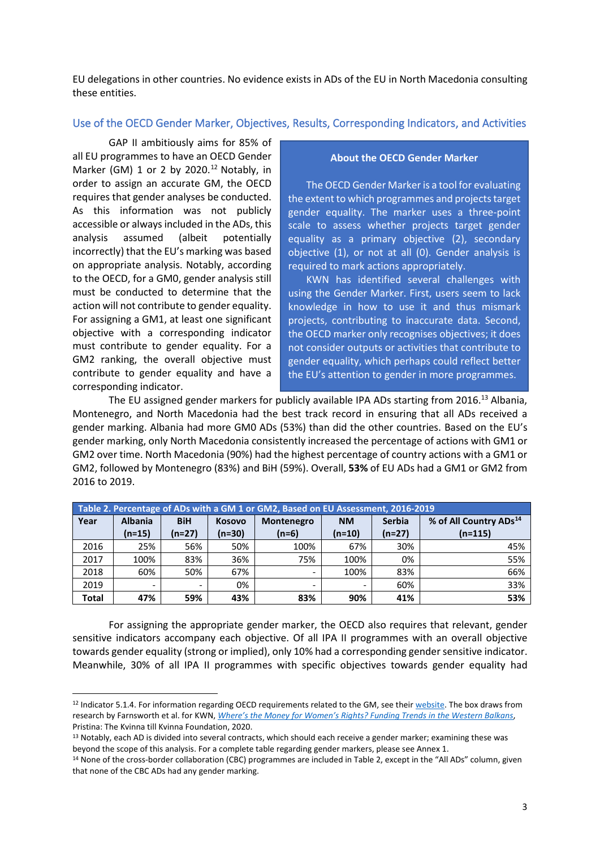EU delegations in other countries. No evidence exists in ADs of the EU in North Macedonia consulting these entities.

#### Use of the OECD Gender Marker, Objectives, Results, Corresponding Indicators, and Activities

GAP II ambitiously aims for 85% of all EU programmes to have an OECD Gender Marker (GM) 1 or 2 by 2020.<sup>12</sup> Notably, in order to assign an accurate GM, the OECD requires that gender analyses be conducted. As this information was not publicly accessible or always included in the ADs, this analysis assumed (albeit potentially incorrectly) that the EU's marking was based on appropriate analysis. Notably, according to the OECD, for a GM0, gender analysis still must be conducted to determine that the action will not contribute to gender equality. For assigning a GM1, at least one significant objective with a corresponding indicator must contribute to gender equality. For a GM2 ranking, the overall objective must contribute to gender equality and have a corresponding indicator.

#### **About the OECD Gender Marker**

The OECD Gender Marker is a tool for evaluating the extent to which programmes and projects target gender equality. The marker uses a three-point scale to assess whether projects target gender equality as a primary objective (2), secondary objective (1), or not at all (0). Gender analysis is required to mark actions appropriately.

KWN has identified several challenges with using the Gender Marker. First, users seem to lack knowledge in how to use it and thus mismark projects, contributing to inaccurate data. Second, the OECD marker only recognises objectives; it does not consider outputs or activities that contribute to gender equality, which perhaps could reflect better the EU's attention to gender in more programmes.

The EU assigned gender markers for publicly available IPA ADs starting from 2016.<sup>13</sup> Albania, Montenegro, and North Macedonia had the best track record in ensuring that all ADs received a gender marking. Albania had more GM0 ADs (53%) than did the other countries. Based on the EU's gender marking, only North Macedonia consistently increased the percentage of actions with GM1 or GM2 over time. North Macedonia (90%) had the highest percentage of country actions with a GM1 or GM2, followed by Montenegro (83%) and BiH (59%). Overall, **53%** of EU ADs had a GM1 or GM2 from 2016 to 2019.

|       | Table 2. Percentage of ADs with a GM 1 or GM2, Based on EU Assessment, 2016-2019 |            |               |                   |           |               |                                    |  |  |  |  |  |  |  |
|-------|----------------------------------------------------------------------------------|------------|---------------|-------------------|-----------|---------------|------------------------------------|--|--|--|--|--|--|--|
| Year  | <b>Albania</b>                                                                   | <b>BiH</b> | <b>Kosovo</b> | <b>Montenegro</b> | <b>NM</b> | <b>Serbia</b> | % of All Country ADs <sup>14</sup> |  |  |  |  |  |  |  |
|       | $(n=15)$                                                                         | (n=27)     | $(n=30)$      | $(n=6)$           | $(n=10)$  | $(n=27)$      | $(n=115)$                          |  |  |  |  |  |  |  |
| 2016  | 25%                                                                              | 56%        | 50%           | 100%              | 67%       | 30%           | 45%                                |  |  |  |  |  |  |  |
| 2017  | 100%                                                                             | 83%        | 36%           | 75%               | 100%      | 0%            | 55%                                |  |  |  |  |  |  |  |
| 2018  | 60%                                                                              | 50%        | 67%           | -                 | 100%      | 83%           | 66%                                |  |  |  |  |  |  |  |
| 2019  |                                                                                  | -          | 0%            |                   |           | 60%           | 33%                                |  |  |  |  |  |  |  |
| Total | 47%                                                                              | 59%        | 43%           | 83%               | 90%       | 41%           | 53%                                |  |  |  |  |  |  |  |

For assigning the appropriate gender marker, the OECD also requires that relevant, gender sensitive indicators accompany each objective. Of all IPA II programmes with an overall objective towards gender equality (strong or implied), only 10% had a corresponding gender sensitive indicator. Meanwhile, 30% of all IPA II programmes with specific objectives towards gender equality had

<sup>&</sup>lt;sup>12</sup> Indicator 5.1.4. For information regarding OECD requirements related to the GM, see thei[r website.](https://www.oecd.org/dac/gender-development/dac-gender-equality-marker.htm) The box draws from research by Farnsworth et al. for KWN, *[Where's the Money for Women's Rights? Funding Trends i](https://womensnetwork.org/wheres-the-money-for-womens-rights/)n the Western Balkans*, Pristina: The Kvinna till Kvinna Foundation, 2020.

<sup>&</sup>lt;sup>13</sup> Notably, each AD is divided into several contracts, which should each receive a gender marker; examining these was beyond the scope of this analysis. For a complete table regarding gender markers, please see Annex 1.

<sup>14</sup> None of the cross-border collaboration (CBC) programmes are included in Table 2, except in the "All ADs" column, given that none of the CBC ADs had any gender marking.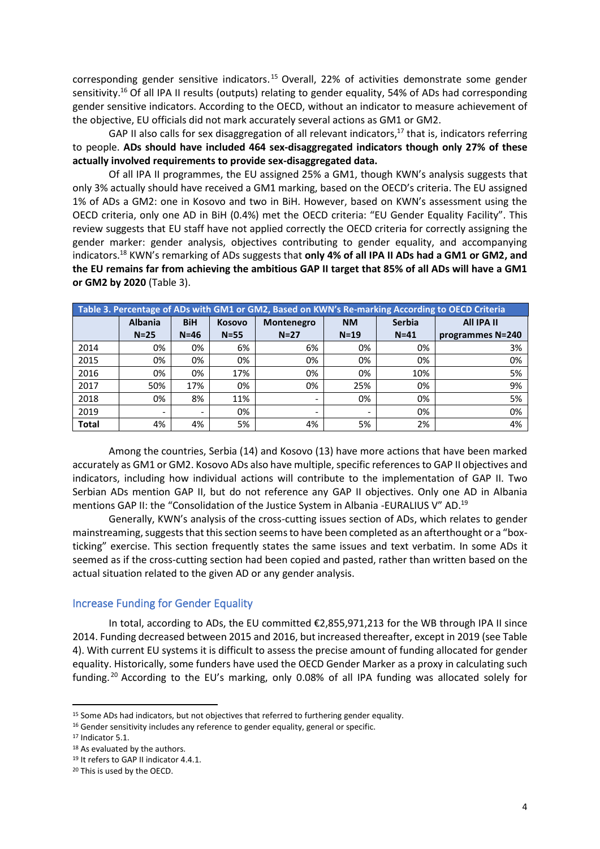corresponding gender sensitive indicators. <sup>15</sup> Overall, 22% of activities demonstrate some gender sensitivity.<sup>16</sup> Of all IPA II results (outputs) relating to gender equality, 54% of ADs had corresponding gender sensitive indicators. According to the OECD, without an indicator to measure achievement of the objective, EU officials did not mark accurately several actions as GM1 or GM2.

GAP II also calls for sex disaggregation of all relevant indicators,<sup>17</sup> that is, indicators referring to people. **ADs should have included 464 sex-disaggregated indicators though only 27% of these actually involved requirements to provide sex-disaggregated data.**

Of all IPA II programmes, the EU assigned 25% a GM1, though KWN's analysis suggests that only 3% actually should have received a GM1 marking, based on the OECD's criteria. The EU assigned 1% of ADs a GM2: one in Kosovo and two in BiH. However, based on KWN's assessment using the OECD criteria, only one AD in BiH (0.4%) met the OECD criteria: "EU Gender Equality Facility". This review suggests that EU staff have not applied correctly the OECD criteria for correctly assigning the gender marker: gender analysis, objectives contributing to gender equality, and accompanying indicators. <sup>18</sup> KWN's remarking of ADs suggests that **only 4% of all IPA II ADs had a GM1 or GM2, and the EU remains far from achieving the ambitious GAP II target that 85% of all ADs will have a GM1 or GM2 by 2020** (Table 3).

|              | Table 3. Percentage of ADs with GM1 or GM2, Based on KWN's Re-marking According to OECD Criteria |                             |          |                          |           |               |                  |  |  |  |  |  |  |  |
|--------------|--------------------------------------------------------------------------------------------------|-----------------------------|----------|--------------------------|-----------|---------------|------------------|--|--|--|--|--|--|--|
|              | <b>Albania</b>                                                                                   | <b>BiH</b><br><b>Kosovo</b> |          | Montenegro               | <b>NM</b> | <b>Serbia</b> | All IPA II       |  |  |  |  |  |  |  |
|              | $N = 25$                                                                                         | $N=46$                      | $N = 55$ | $N=27$                   | $N=19$    | $N = 41$      | programmes N=240 |  |  |  |  |  |  |  |
| 2014         | 0%                                                                                               | 0%                          | 6%       | 6%                       | 0%        | 0%            | 3%               |  |  |  |  |  |  |  |
| 2015         | 0%                                                                                               | 0%                          | 0%       | 0%                       | 0%        | 0%            | 0%               |  |  |  |  |  |  |  |
| 2016         | 0%                                                                                               | 0%                          | 17%      | 0%                       | 0%        | 10%           | 5%               |  |  |  |  |  |  |  |
| 2017         | 50%                                                                                              | 17%                         | 0%       | 0%                       | 25%       | 0%            | 9%               |  |  |  |  |  |  |  |
| 2018         | 0%                                                                                               | 8%                          | 11%      | $\overline{\phantom{a}}$ | 0%        | 0%            | 5%               |  |  |  |  |  |  |  |
| 2019         | $\overline{\phantom{a}}$                                                                         |                             | 0%       | $\overline{\phantom{0}}$ |           | 0%            | 0%               |  |  |  |  |  |  |  |
| <b>Total</b> | 4%                                                                                               | 4%                          | 5%       | 4%                       | 5%        | 2%            | 4%               |  |  |  |  |  |  |  |

Among the countries, Serbia (14) and Kosovo (13) have more actions that have been marked accurately as GM1 or GM2. Kosovo ADs also have multiple, specific references to GAP II objectives and indicators, including how individual actions will contribute to the implementation of GAP II. Two Serbian ADs mention GAP II, but do not reference any GAP II objectives. Only one AD in Albania mentions GAP II: the "Consolidation of the Justice System in Albania -EURALIUS V" AD.<sup>19</sup>

Generally, KWN's analysis of the cross-cutting issues section of ADs, which relates to gender mainstreaming, suggests that this section seems to have been completed as an afterthought or a "boxticking" exercise. This section frequently states the same issues and text verbatim. In some ADs it seemed as if the cross-cutting section had been copied and pasted, rather than written based on the actual situation related to the given AD or any gender analysis.

#### Increase Funding for Gender Equality

In total, according to ADs, the EU committed €2,855,971,213 for the WB through IPA II since 2014. Funding decreased between 2015 and 2016, but increased thereafter, except in 2019 (see Table 4). With current EU systems it is difficult to assess the precise amount of funding allocated for gender equality. Historically, some funders have used the OECD Gender Marker as a proxy in calculating such funding.<sup>20</sup> According to the EU's marking, only 0.08% of all IPA funding was allocated solely for

<sup>&</sup>lt;sup>15</sup> Some ADs had indicators, but not objectives that referred to furthering gender equality.

<sup>&</sup>lt;sup>16</sup> Gender sensitivity includes any reference to gender equality, general or specific.

<sup>&</sup>lt;sup>17</sup> Indicator 5.1.

<sup>&</sup>lt;sup>18</sup> As evaluated by the authors.

<sup>19</sup> It refers to GAP II indicator 4.4.1.

<sup>20</sup> This is used by the OECD.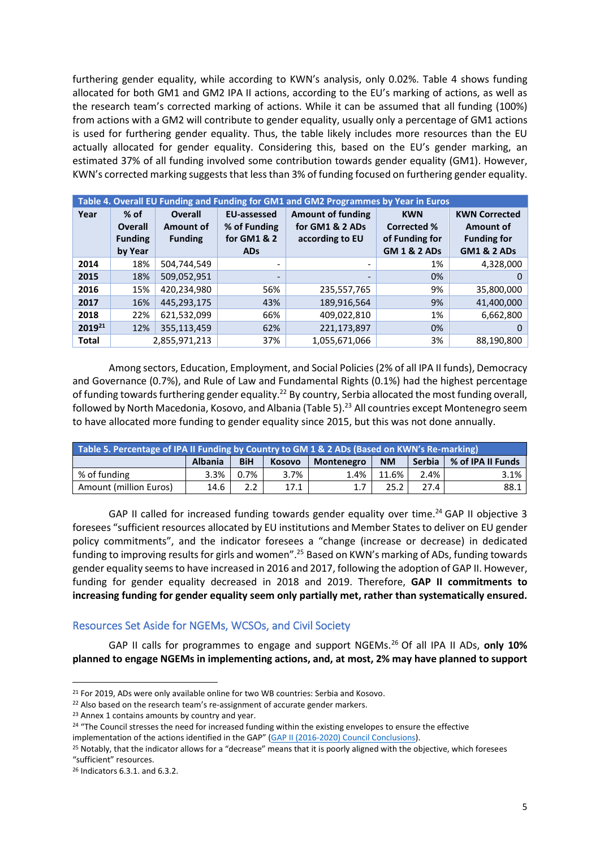furthering gender equality, while according to KWN's analysis, only 0.02%. Table 4 shows funding allocated for both GM1 and GM2 IPA II actions, according to the EU's marking of actions, as well as the research team's corrected marking of actions. While it can be assumed that all funding (100%) from actions with a GM2 will contribute to gender equality, usually only a percentage of GM1 actions is used for furthering gender equality. Thus, the table likely includes more resources than the EU actually allocated for gender equality. Considering this, based on the EU's gender marking, an estimated 37% of all funding involved some contribution towards gender equality (GM1). However, KWN's corrected marking suggests that less than 3% of funding focused on furthering gender equality.

|                    | Table 4. Overall EU Funding and Funding for GM1 and GM2 Programmes by Year in Euros |                  |                          |                          |                         |                        |  |  |  |  |  |  |  |  |
|--------------------|-------------------------------------------------------------------------------------|------------------|--------------------------|--------------------------|-------------------------|------------------------|--|--|--|--|--|--|--|--|
| Year               | $%$ of                                                                              | <b>Overall</b>   | <b>EU-assessed</b>       | <b>Amount of funding</b> | <b>KWN</b>              | <b>KWN Corrected</b>   |  |  |  |  |  |  |  |  |
|                    | <b>Overall</b>                                                                      | <b>Amount of</b> | % of Funding             | for GM1 & 2 ADs          | <b>Corrected %</b>      | <b>Amount of</b>       |  |  |  |  |  |  |  |  |
|                    | <b>Funding</b>                                                                      | <b>Funding</b>   | for GM1 & 2              | according to EU          | of Funding for          | <b>Funding for</b>     |  |  |  |  |  |  |  |  |
|                    | by Year                                                                             |                  | <b>ADs</b>               |                          | <b>GM 1 &amp; 2 ADs</b> | <b>GM1 &amp; 2 ADs</b> |  |  |  |  |  |  |  |  |
| 2014               | 18%                                                                                 | 504,744,549      | $\overline{\phantom{0}}$ | $\overline{\phantom{a}}$ | 1%                      | 4,328,000              |  |  |  |  |  |  |  |  |
| 2015               | 18%                                                                                 | 509,052,951      |                          |                          | 0%                      | 0                      |  |  |  |  |  |  |  |  |
| 2016               | 15%                                                                                 | 420,234,980      | 56%                      | 235,557,765              | 9%                      | 35,800,000             |  |  |  |  |  |  |  |  |
| 2017               | 16%                                                                                 | 445,293,175      | 43%                      | 189,916,564              | 9%                      | 41,400,000             |  |  |  |  |  |  |  |  |
| 2018               | 22%                                                                                 | 621,532,099      | 66%                      | 409,022,810              | 1%                      | 6,662,800              |  |  |  |  |  |  |  |  |
| 2019 <sup>21</sup> | 12%                                                                                 | 355,113,459      | 62%                      | 221,173,897              | 0%                      |                        |  |  |  |  |  |  |  |  |
| <b>Total</b>       |                                                                                     | 2.855.971.213    | 37%                      | 1.055.671.066            | 3%                      | 88,190,800             |  |  |  |  |  |  |  |  |

Among sectors, Education, Employment, and Social Policies (2% of all IPA II funds), Democracy and Governance (0.7%), and Rule of Law and Fundamental Rights (0.1%) had the highest percentage of funding towards furthering gender equality.<sup>22</sup> By country, Serbia allocated the most funding overall, followed by North Macedonia, Kosovo, and Albania (Table 5).<sup>23</sup> All countries except Montenegro seem to have allocated more funding to gender equality since 2015, but this was not done annually.

| Table 5. Percentage of IPA II Funding by Country to GM 1 & 2 ADs (Based on KWN's Re-marking) |                |            |               |                   |           |        |                   |  |  |  |  |  |
|----------------------------------------------------------------------------------------------|----------------|------------|---------------|-------------------|-----------|--------|-------------------|--|--|--|--|--|
|                                                                                              | <b>Albania</b> | <b>BiH</b> | <b>Kosovo</b> | <b>Montenegro</b> | <b>NM</b> | Serbia | % of IPA II Funds |  |  |  |  |  |
| % of funding                                                                                 | 3.3%           | $0.7\%$    | 3.7%          | 1.4%              | 11.6%     | 2.4%   | 3.1%              |  |  |  |  |  |
| Amount (million Euros)                                                                       | 14.6           |            | 17.1          |                   | 25.2      | 27.4   | 88.1              |  |  |  |  |  |

GAP II called for increased funding towards gender equality over time.<sup>24</sup> GAP II objective 3 foresees "sufficient resources allocated by EU institutions and Member States to deliver on EU gender policy commitments", and the indicator foresees a "change (increase or decrease) in dedicated funding to improving results for girls and women".<sup>25</sup> Based on KWN's marking of ADs, funding towards gender equality seems to have increased in 2016 and 2017, following the adoption of GAP II. However, funding for gender equality decreased in 2018 and 2019. Therefore, **GAP II commitments to increasing funding for gender equality seem only partially met, rather than systematically ensured.**

## Resources Set Aside for NGEMs, WCSOs, and Civil Society

GAP II calls for programmes to engage and support NGEMs.<sup>26</sup> Of all IPA II ADs, **only 10% planned to engage NGEMs in implementing actions, and, at most, 2% may have planned to support** 

<sup>&</sup>lt;sup>21</sup> For 2019, ADs were only available online for two WB countries: Serbia and Kosovo.

<sup>&</sup>lt;sup>22</sup> Also based on the research team's re-assignment of accurate gender markers.

<sup>&</sup>lt;sup>23</sup> Annex 1 contains amounts by country and year.

<sup>&</sup>lt;sup>24</sup> "The Council stresses the need for increased funding within the existing envelopes to ensure the effective implementation of the actions identified in the GAP" ([GAP II \(2016-2020\) Council Conclusions\)](https://www.consilium.europa.eu/media/24467/st13201-en15.pdf).

<sup>&</sup>lt;sup>25</sup> Notably, that the indicator allows for a "decrease" means that it is poorly aligned with the objective, which foresees "sufficient" resources.

<sup>26</sup> Indicators 6.3.1. and 6.3.2.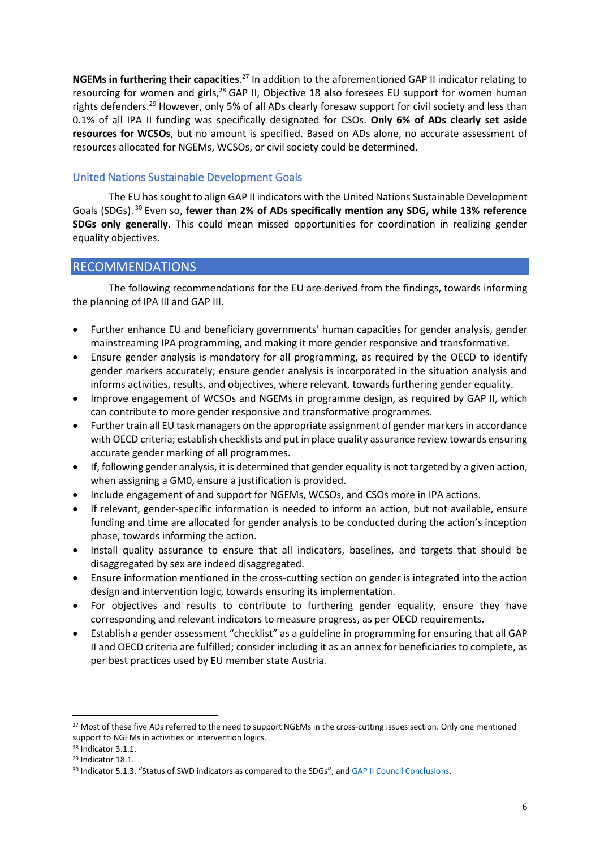NGEMs in furthering their capacities.<sup>27</sup> In addition to the aforementioned GAP II indicator relating to resourcing for women and girls,<sup>28</sup> GAP II, Objective 18 also foresees EU support for women human rights defenders.<sup>29</sup> However, only 5% of all ADs clearly foresaw support for civil society and less than 0.1% of all IPA II funding was specifically designated for CSOs. **Only 6% of ADs clearly set aside resources for WCSOs**, but no amount is specified. Based on ADs alone, no accurate assessment of resources allocated for NGEMs, WCSOs, or civil society could be determined.

# United Nations Sustainable Development Goals

The EU has sought to align GAP II indicators with the United Nations Sustainable Development Goals (SDGs). <sup>30</sup> Even so, **fewer than 2% of ADs specifically mention any SDG, while 13% reference SDGs only generally**. This could mean missed opportunities for coordination in realizing gender equality objectives.

# RECOMMENDATIONS

The following recommendations for the EU are derived from the findings, towards informing the planning of IPA III and GAP III.

- Further enhance EU and beneficiary governments' human capacities for gender analysis, gender mainstreaming IPA programming, and making it more gender responsive and transformative.
- Ensure gender analysis is mandatory for all programming, as required by the OECD to identify gender markers accurately; ensure gender analysis is incorporated in the situation analysis and informs activities, results, and objectives, where relevant, towards furthering gender equality.
- Improve engagement of WCSOs and NGEMs in programme design, as required by GAP II, which can contribute to more gender responsive and transformative programmes.
- Further train all EU task managers on the appropriate assignment of gender markers in accordance with OECD criteria; establish checklists and put in place quality assurance review towards ensuring accurate gender marking of all programmes.
- If, following gender analysis, it is determined that gender equality is not targeted by a given action, when assigning a GM0, ensure a justification is provided.
- Include engagement of and support for NGEMs, WCSOs, and CSOs more in IPA actions.
- If relevant, gender-specific information is needed to inform an action, but not available, ensure funding and time are allocated for gender analysis to be conducted during the action's inception phase, towards informing the action.
- Install quality assurance to ensure that all indicators, baselines, and targets that should be disaggregated by sex are indeed disaggregated.
- Ensure information mentioned in the cross-cutting section on gender is integrated into the action design and intervention logic, towards ensuring its implementation.
- For objectives and results to contribute to furthering gender equality, ensure they have corresponding and relevant indicators to measure progress, as per OECD requirements.
- Establish a gender assessment "checklist" as a guideline in programming for ensuring that all GAP II and OECD criteria are fulfilled; consider including it as an annex for beneficiaries to complete, as per best practices used by EU member state Austria.

<sup>&</sup>lt;sup>27</sup> Most of these five ADs referred to the need to support NGEMs in the cross-cutting issues section. Only one mentioned support to NGEMs in activities or intervention logics.

<sup>28</sup> Indicator 3.1.1.

<sup>29</sup> Indicator 18.1.

<sup>&</sup>lt;sup>30</sup> Indicator 5.1.3. "Status of SWD indicators as compared to the SDGs"; and [GAP II Council Conclusions.](https://www.consilium.europa.eu/media/24467/st13201-en15.pdf)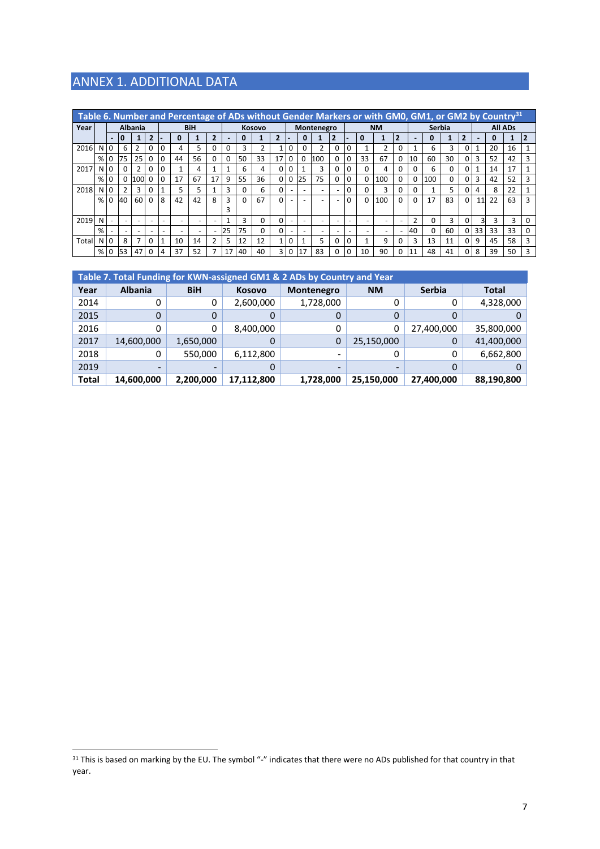# ANNEX 1. ADDITIONAL DATA

|       | Table 6. Number and Percentage of ADs without Gender Markers or with GM0, GM1, or GM2 by Country <sup>31</sup> |                          |                |                |          |          |    |            |                          |               |    |          |                          |                          |          |                          |                |          |          |        |   |          |     |                |          |                          |    |    |                |
|-------|----------------------------------------------------------------------------------------------------------------|--------------------------|----------------|----------------|----------|----------|----|------------|--------------------------|---------------|----|----------|--------------------------|--------------------------|----------|--------------------------|----------------|----------|----------|--------|---|----------|-----|----------------|----------|--------------------------|----|----|----------------|
| Year  |                                                                                                                |                          |                | <b>Albania</b> |          |          |    | <b>BiH</b> |                          | <b>Kosovo</b> |    |          |                          | Montenegro               |          |                          | <b>NM</b>      |          |          | Serbia |   |          |     | <b>All ADs</b> |          |                          |    |    |                |
|       |                                                                                                                | $\blacksquare$           |                |                | 2        |          |    |            | $\overline{\phantom{a}}$ |               |    |          | $\overline{\phantom{a}}$ |                          |          |                          | $\overline{2}$ |          | Ω        |        | 2 | -        |     |                | ว        | $\overline{\phantom{0}}$ | 0  |    | $\overline{2}$ |
| 2016  | N                                                                                                              | $\overline{0}$           | 6              | $\overline{2}$ | 0        | 0        | 4  | 5          |                          | 0             | 3  | 2        | 1                        | $\mathbf 0$              |          | $\overline{2}$           | 0              |          |          | 2      |   |          | 6   | 3              | 0        |                          | 20 | 16 |                |
|       | %                                                                                                              | $\Omega$                 | 75             | 25             | 0        | $\Omega$ | 44 | 56         | O.                       | 0             | 50 | 33       | 17                       | 0                        | $\Omega$ | 100                      | O              | $\Omega$ | 33       | 67     |   | 10       | 60  | 30             | 0        | 3                        | 52 | 42 | 3              |
| 2017  | N                                                                                                              | 10                       | $\Omega$       | C.             | 0        |          |    |            |                          |               | 6  | 4        | 0                        | 0                        |          | 3                        | 0              | 0        | O        | 4      |   | 0        | 6   | 0              | $\Omega$ |                          | 14 | 17 |                |
|       | %                                                                                                              | 0                        | 0              | 100            | $\Omega$ | $\Omega$ | 17 | 67         | 17                       | 9             | 55 | 36       | 0                        | 0                        | 25       | 75                       | 0              | 0        | 0        | 100    |   | $\Omega$ | 100 | 0              | $\Omega$ | 3                        | 42 | 52 | 3              |
| 2018  | N                                                                                                              | 0                        | $\overline{2}$ | 3              | 0        |          | 5  | 5          |                          | 3             |    | 6        | 0                        | $\overline{\phantom{a}}$ |          | $\overline{\phantom{0}}$ |                |          | O        | 3      |   | 0        |     | 5              | $\Omega$ | 4                        | 8  | 22 |                |
|       | % 0                                                                                                            |                          | 40             | 60             | 0        | 8        | 42 | 42         | 8                        | 3             |    | 67       | 0                        |                          |          |                          |                |          | $\Omega$ | 100    |   | 0        | 17  | 83             | $\Omega$ | 11                       | 22 | 63 | 3              |
|       |                                                                                                                |                          |                |                |          |          |    |            |                          | 3             |    |          |                          |                          |          |                          |                |          |          |        |   |          |     |                |          |                          |    |    |                |
| 2019  | N                                                                                                              | $\overline{\phantom{a}}$ |                |                |          |          |    |            |                          |               | 3  | 0        | 0                        | $\overline{\phantom{a}}$ |          | $\overline{\phantom{a}}$ |                |          |          |        |   | <u>ົ</u> | 0   | 3              | 0        | 31                       | 3  | 3  |                |
|       | %                                                                                                              |                          |                |                |          |          |    | -          |                          | 25            | 75 | $\Omega$ |                          |                          |          |                          |                |          |          |        |   | 40       | O   | 60             | 0        | 33                       | 33 | 33 | $\Omega$       |
| Total | N                                                                                                              | <b>0</b>                 | 8              |                | ŋ        |          | 10 | 14         |                          | 5             | 12 | 12       | 1                        | 0                        |          | 5                        | O              |          |          | 9      |   | 3        | 13  | 11             | $\Omega$ | 9                        | 45 | 58 | 3              |
|       | %                                                                                                              | 0                        | 53             | 47             | n        |          | 37 | 52         |                          | 17            | 40 | 40       | 3                        | 0                        | 17       | 83                       | 0              |          | 10       | 90     |   | 11       | 48  | 41             | $\Omega$ | 8                        | 39 | 50 | 3              |

|              | Table 7. Total Funding for KWN-assigned GM1 & 2 ADs by Country and Year |            |               |            |            |               |            |  |  |  |  |  |  |  |
|--------------|-------------------------------------------------------------------------|------------|---------------|------------|------------|---------------|------------|--|--|--|--|--|--|--|
| Year         | <b>Albania</b>                                                          | <b>BiH</b> | <b>Kosovo</b> | Montenegro | <b>NM</b>  | <b>Serbia</b> | Total      |  |  |  |  |  |  |  |
| 2014         | 0                                                                       | 0          | 2,600,000     | 1,728,000  |            | 0             | 4,328,000  |  |  |  |  |  |  |  |
| 2015         | 0                                                                       | 0          | 0             |            |            |               |            |  |  |  |  |  |  |  |
| 2016         | 0                                                                       | 0          | 8,400,000     |            | 0          | 27,400,000    | 35,800,000 |  |  |  |  |  |  |  |
| 2017         | 14,600,000                                                              | 1,650,000  | 0             | 0          | 25,150,000 | 0             | 41,400,000 |  |  |  |  |  |  |  |
| 2018         | 0                                                                       | 550,000    | 6,112,800     |            |            | 0             | 6,662,800  |  |  |  |  |  |  |  |
| 2019         | $\overline{\phantom{0}}$                                                |            | 0             |            |            |               |            |  |  |  |  |  |  |  |
| <b>Total</b> | 14,600,000                                                              | 2,200,000  | 17,112,800    | 1,728,000  | 25,150,000 | 27,400,000    | 88,190,800 |  |  |  |  |  |  |  |

<sup>&</sup>lt;sup>31</sup> This is based on marking by the EU. The symbol "-" indicates that there were no ADs published for that country in that year.